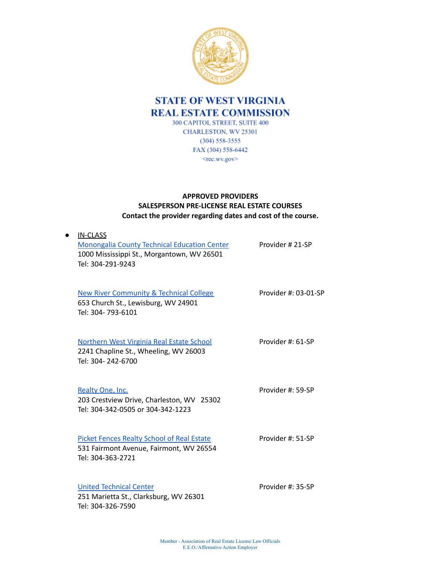

## **STATE OF WEST VIRGINIA REAL ESTATE COMMISSION** 300 CAPITOL STREET, SUITE 400

CHARLESTON, WV 25301  $(304) 558 - 3555$ FAX (304) 558-6442 <ree.wv.gov>

## **APPROVED PROVIDERS SALESPERSON PRE-LICENSE REAL ESTATE COURSES Contact the provider regarding dates and cost of the course.**

| <b>IN-CLASS</b><br><b>Monongalia County Technical Education Center</b><br>1000 Mississippi St., Morgantown, WV 26501<br>Tel: 304-291-9243 | Provider #21-SP      |
|-------------------------------------------------------------------------------------------------------------------------------------------|----------------------|
| <b>New River Community &amp; Technical College</b><br>653 Church St., Lewisburg, WV 24901<br>Tel: 304-793-6101                            | Provider #: 03-01-SP |
| <b>Northern West Virginia Real Estate School</b><br>2241 Chapline St., Wheeling, WV 26003<br>Tel: 304-242-6700                            | Provider #: 61-SP    |
| Realty One, Inc.<br>203 Crestview Drive, Charleston, WV 25302<br>Tel: 304-342-0505 or 304-342-1223                                        | Provider #: 59-SP    |
| <b>Picket Fences Realty School of Real Estate</b><br>531 Fairmont Avenue, Fairmont, WV 26554<br>Tel: 304-363-2721                         | Provider #: 51-SP    |
| <b>United Technical Center</b><br>251 Marietta St., Clarksburg, WV 26301<br>Tel: 304-326-7590                                             | Provider #: 35-SP    |